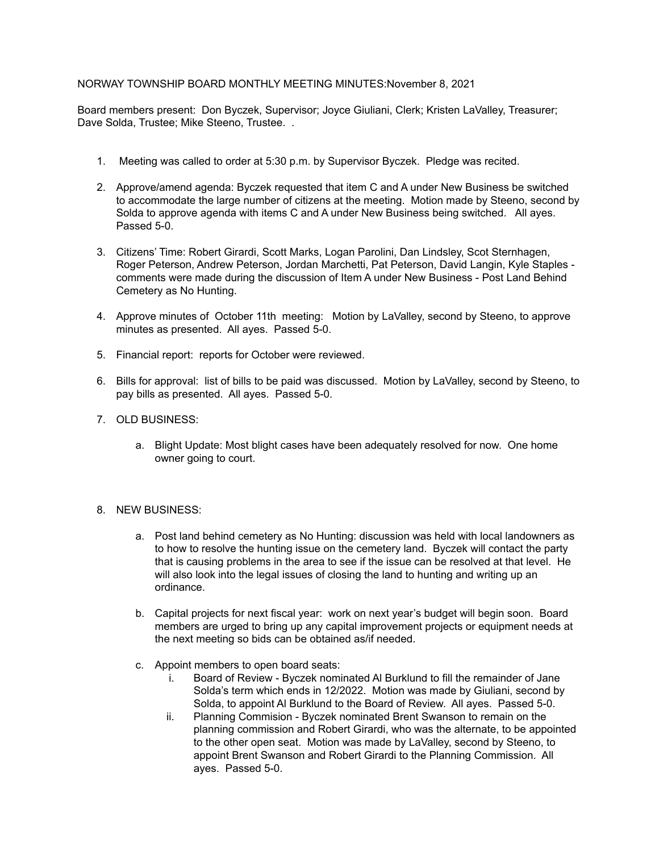## NORWAY TOWNSHIP BOARD MONTHLY MEETING MINUTES:November 8, 2021

Board members present: Don Byczek, Supervisor; Joyce Giuliani, Clerk; Kristen LaValley, Treasurer; Dave Solda, Trustee; Mike Steeno, Trustee. .

- 1. Meeting was called to order at 5:30 p.m. by Supervisor Byczek. Pledge was recited.
- 2. Approve/amend agenda: Byczek requested that item C and A under New Business be switched to accommodate the large number of citizens at the meeting. Motion made by Steeno, second by Solda to approve agenda with items C and A under New Business being switched. All ayes. Passed 5-0.
- 3. Citizens' Time: Robert Girardi, Scott Marks, Logan Parolini, Dan Lindsley, Scot Sternhagen, Roger Peterson, Andrew Peterson, Jordan Marchetti, Pat Peterson, David Langin, Kyle Staples comments were made during the discussion of Item A under New Business - Post Land Behind Cemetery as No Hunting.
- 4. Approve minutes of October 11th meeting: Motion by LaValley, second by Steeno, to approve minutes as presented. All ayes. Passed 5-0.
- 5. Financial report: reports for October were reviewed.
- 6. Bills for approval: list of bills to be paid was discussed. Motion by LaValley, second by Steeno, to pay bills as presented. All ayes. Passed 5-0.
- 7. OLD BUSINESS:
	- a. Blight Update: Most blight cases have been adequately resolved for now. One home owner going to court.
- 8. NEW BUSINESS:
	- a. Post land behind cemetery as No Hunting: discussion was held with local landowners as to how to resolve the hunting issue on the cemetery land. Byczek will contact the party that is causing problems in the area to see if the issue can be resolved at that level. He will also look into the legal issues of closing the land to hunting and writing up an ordinance.
	- b. Capital projects for next fiscal year: work on next year's budget will begin soon. Board members are urged to bring up any capital improvement projects or equipment needs at the next meeting so bids can be obtained as/if needed.
	- c. Appoint members to open board seats:
		- i. Board of Review Byczek nominated Al Burklund to fill the remainder of Jane Solda's term which ends in 12/2022. Motion was made by Giuliani, second by Solda, to appoint Al Burklund to the Board of Review. All ayes. Passed 5-0.
		- ii. Planning Commision Byczek nominated Brent Swanson to remain on the planning commission and Robert Girardi, who was the alternate, to be appointed to the other open seat. Motion was made by LaValley, second by Steeno, to appoint Brent Swanson and Robert Girardi to the Planning Commission. All ayes. Passed 5-0.